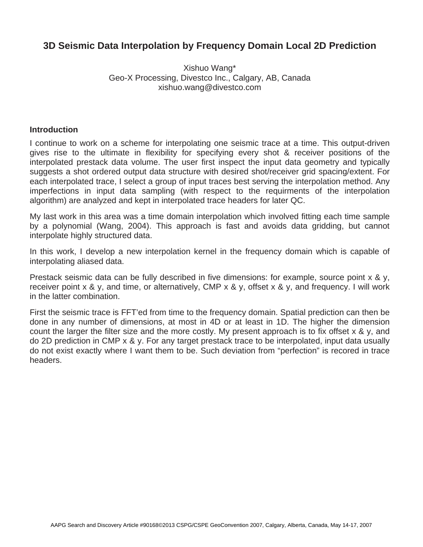# **3D Seismic Data Interpolation by Frequency Domain Local 2D Prediction**

Xishuo Wang\* Geo-X Processing, Divestco Inc., Calgary, AB, Canada xishuo.wang@divestco.com

#### **Introduction**

I continue to work on a scheme for interpolating one seismic trace at a time. This output-driven gives rise to the ultimate in flexibility for specifying every shot & receiver positions of the interpolated prestack data volume. The user first inspect the input data geometry and typically suggests a shot ordered output data structure with desired shot/receiver grid spacing/extent. For each interpolated trace, I select a group of input traces best serving the interpolation method. Any imperfections in input data sampling (with respect to the requirments of the interpolation algorithm) are analyzed and kept in interpolated trace headers for later QC.

My last work in this area was a time domain interpolation which involved fitting each time sample by a polynomial (Wang, 2004). This approach is fast and avoids data gridding, but cannot interpolate highly structured data.

In this work, I develop a new interpolation kernel in the frequency domain which is capable of interpolating aliased data.

Prestack seismic data can be fully described in five dimensions: for example, source point x & y, receiver point x & y, and time, or alternatively, CMP x & y, offset x & y, and frequency. I will work in the latter combination.

First the seismic trace is FFT'ed from time to the frequency domain. Spatial prediction can then be done in any number of dimensions, at most in 4D or at least in 1D. The higher the dimension count the larger the filter size and the more costly. My present approach is to fix offset x & y, and do 2D prediction in CMP x & y. For any target prestack trace to be interpolated, input data usually do not exist exactly where I want them to be. Such deviation from "perfection" is recored in trace headers.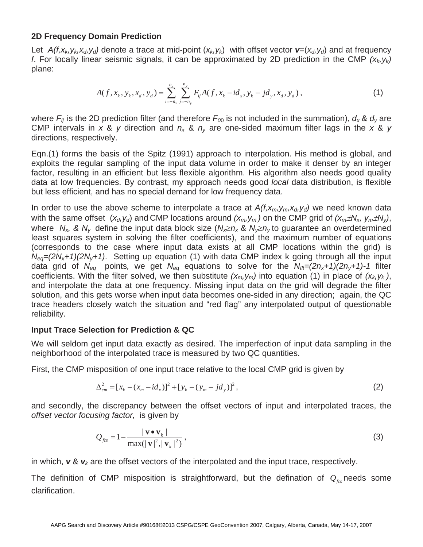## **2D Frequency Domain Prediction**

Let  $A(f, x_k, y_k, x_d, y_d)$  denote a trace at mid-point  $(x_k, y_k)$  with offset vector  $v=(x_d, y_d)$  and at frequency *f*. For locally linear seismic signals, it can be approximated by 2D prediction in the CMP *(xk,yk)* plane:

$$
A(f, x_k, y_k, x_d, y_d) = \sum_{i=-n_x}^{n_x} \sum_{j=-n_y}^{n_y} F_{ij} A(f, x_k - id_x, y_k - jd_y, x_d, y_d), \qquad (1)
$$

where  $F_{ij}$  is the 2D prediction filter (and therefore  $F_{00}$  is not included in the summation),  $d_x$  &  $d_y$  are CMP intervals in  $x \& y$  direction and  $n_x \& n_y$  are one-sided maximum filter lags in the  $x \& y$ directions, respectively.

Eqn.(1) forms the basis of the Spitz (1991) approach to interpolation. His method is global, and exploits the regular sampling of the input data volume in order to make it denser by an integer factor, resulting in an efficient but less flexible algorithm. His algorithm also needs good quality data at low frequencies. By contrast, my approach needs good *local* data distribution, is flexible but less efficient, and has no special demand for low frequency data.

In order to use the above scheme to interpolate a trace at  $A(f, x_m, y_m, x_d, y_d)$  we need known data with the same offset  $(x_d, y_d)$  and CMP locations around  $(x_m, y_m)$  on the CMP grid of  $(x_m \pm N_x, y_m \pm N_y)$ , where  $N_x$ , &  $N_y$  define the input data block size  $(N_x \ge n_x \ge N_y \ge n_y)$  to guarantee an overdetermined least squares system in solving the filter coefficients), and the maximum number of equations (corresponds to the case where input data exists at all CMP locations within the grid) is *Neq*=*(2Nx+1)(2Ny+1)*. Setting up equation (1) with data CMP index k going through all the input data grid of *Neq* points*,* we get *Neq* equations to solve for the *Nflt=(2nx+1)(2ny+1)-1* filter coefficients. With the filter solved, we then substitute  $(x_m, y_m)$  into equation (1) in place of  $(x_k, y_k)$ , and interpolate the data at one frequency. Missing input data on the grid will degrade the filter solution, and this gets worse when input data becomes one-sided in any direction; again, the QC trace headers closely watch the situation and "red flag" any interpolated output of questionable reliability.

## **Input Trace Selection for Prediction & QC**

We will seldom get input data exactly as desired. The imperfection of input data sampling in the neighborhood of the interpolated trace is measured by two QC quantities.

First, the CMP misposition of one input trace relative to the local CMP grid is given by

$$
\Delta_{cm}^{2} = [x_{k} - (x_{m} - id_{x})]^{2} + [y_{k} - (y_{m} - jd_{y})]^{2},
$$
\n(2)

and secondly, the discrepancy between the offset vectors of input and interpolated traces, the *offset vector focusing factor,* is given by

$$
Q_{\text{fcs}} = 1 - \frac{|\mathbf{v} \bullet \mathbf{v}_k|}{\max(|\mathbf{v}|^2, |\mathbf{v}_k|^2)},
$$
\n(3)

in which, *v* & *vk* are the offset vectors of the interpolated and the input trace, respectively.

The definition of CMP misposition is straightforward, but the defination of  $Q_{\text{fcs}}$  needs some clarification.